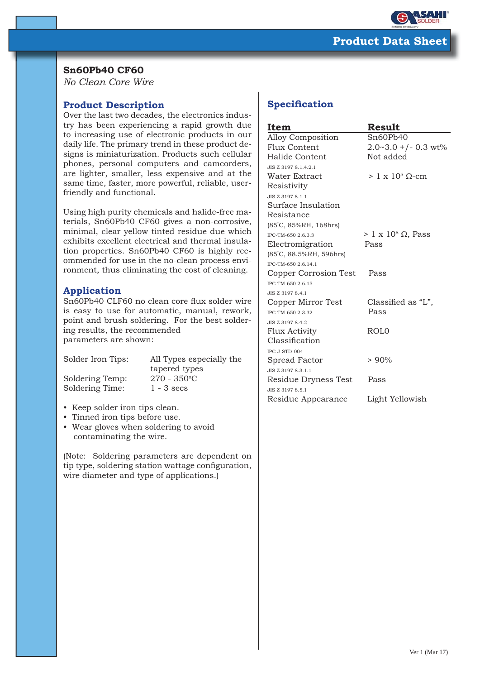

## **Sn60Pb40 CF60**

*No Clean Core Wire*

## **Product Description**

Over the last two decades, the electronics industry has been experiencing a rapid growth due to increasing use of electronic products in our daily life. The primary trend in these product designs is miniaturization. Products such cellular phones, personal computers and camcorders, are lighter, smaller, less expensive and at the same time, faster, more powerful, reliable, userfriendly and functional.

Using high purity chemicals and halide-free materials, Sn60Pb40 CF60 gives a non-corrosive, minimal, clear yellow tinted residue due which exhibits excellent electrical and thermal insulation properties. Sn60Pb40 CF60 is highly recommended for use in the no-clean process environment, thus eliminating the cost of cleaning.

## **Application**

Sn60Pb40 CLF60 no clean core flux solder wire is easy to use for automatic, manual, rework, point and brush soldering. For the best soldering results, the recommended parameters are shown:

Soldering Temp:

Solder Iron Tips: All Types especially the tapered types  $270 - 350$ °C Soldering Time: 1 - 3 secs

- Keep solder iron tips clean.
- Tinned iron tips before use.
- Wear gloves when soldering to avoid contaminating the wire.

(Note: Soldering parameters are dependent on tip type, soldering station wattage configuration, wire diameter and type of applications.)

# **Specification**

| Item                    | Result                          |  |
|-------------------------|---------------------------------|--|
| Alloy Composition       | Sn60Pb40                        |  |
| Flux Content            | $2.0 - 3.0$ +/- 0.3 wt%         |  |
| Halide Content          | Not added                       |  |
| JIS Z 3197 8.1.4.2.1    |                                 |  |
| Water Extract           | $> 1 \times 10^5$ Q-cm          |  |
| Resistivity             |                                 |  |
| JIS Z 3197 8.1.1        |                                 |  |
| Surface Insulation      |                                 |  |
| Resistance              |                                 |  |
| (85°C, 85%RH, 168hrs)   |                                 |  |
| IPC-TM-650 2.6.3.3      | $> 1 \times 10^8 \Omega$ , Pass |  |
| Electromigration        | Pass                            |  |
| (85°C, 88.5%RH, 596hrs) |                                 |  |
| IPC-TM-650 2.6.14.1     |                                 |  |
| Copper Corrosion Test   | Pass                            |  |
| IPC-TM-650 2.6.15       |                                 |  |
| JIS Z 3197 8.4.1        |                                 |  |
| Copper Mirror Test      | Classified as "L",              |  |
| IPC-TM-650 2.3.32       | Pass                            |  |
| JIS Z 3197 8.4.2        |                                 |  |
| <b>Flux Activity</b>    | ROL0                            |  |
| Classification          |                                 |  |
| IPC J-STD-004           |                                 |  |
| Spread Factor           | $> 90\%$                        |  |
| JIS Z 3197 8.3.1.1      |                                 |  |
| Residue Dryness Test    | Pass                            |  |
| JIS Z 3197 8.5.1        |                                 |  |
| Residue Appearance      | Light Yellowish                 |  |